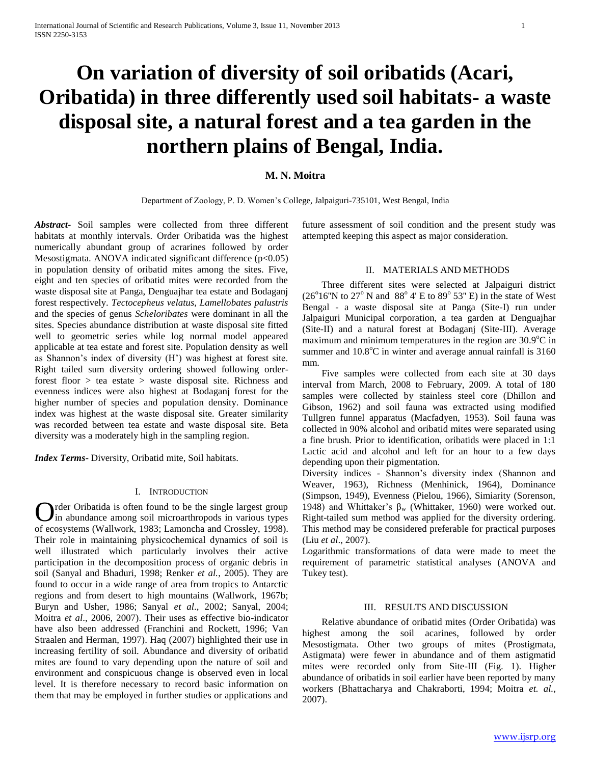# **On variation of diversity of soil oribatids (Acari, Oribatida) in three differently used soil habitats- a waste disposal site, a natural forest and a tea garden in the northern plains of Bengal, India.**

# **M. N. Moitra**

Department of Zoology, P. D. Women's College, Jalpaiguri-735101, West Bengal, India

*Abstract***-** Soil samples were collected from three different habitats at monthly intervals. Order Oribatida was the highest numerically abundant group of acrarines followed by order Mesostigmata. ANOVA indicated significant difference  $(p<0.05)$ in population density of oribatid mites among the sites. Five, eight and ten species of oribatid mites were recorded from the waste disposal site at Panga, Denguajhar tea estate and Bodaganj forest respectively. *Tectocepheus velatus, Lamellobates palustris* and the species of genus *Scheloribates* were dominant in all the sites. Species abundance distribution at waste disposal site fitted well to geometric series while log normal model appeared applicable at tea estate and forest site. Population density as well as Shannon's index of diversity (H') was highest at forest site. Right tailed sum diversity ordering showed following orderforest floor > tea estate > waste disposal site. Richness and evenness indices were also highest at Bodaganj forest for the higher number of species and population density. Dominance index was highest at the waste disposal site. Greater similarity was recorded between tea estate and waste disposal site. Beta diversity was a moderately high in the sampling region.

*Index Terms*- Diversity, Oribatid mite, Soil habitats.

## I. INTRODUCTION

Order Oribatida is often found to be the single largest group<br>in abundance among soil microarthropods in various types in abundance among soil microarthropods in various types of ecosystems (Wallwork, 1983; Lamoncha and Crossley, 1998). Their role in maintaining physicochemical dynamics of soil is well illustrated which particularly involves their active participation in the decomposition process of organic debris in soil (Sanyal and Bhaduri, 1998; Renker *et al.*, 2005). They are found to occur in a wide range of area from tropics to Antarctic regions and from desert to high mountains (Wallwork, 1967b; Buryn and Usher, 1986; Sanyal *et al*., 2002; Sanyal, 2004; Moitra *et al*., 2006, 2007). Their uses as effective bio-indicator have also been addressed (Franchini and Rockett, 1996; Van Straalen and Herman, 1997). Haq (2007) highlighted their use in increasing fertility of soil. Abundance and diversity of oribatid mites are found to vary depending upon the nature of soil and environment and conspicuous change is observed even in local level. It is therefore necessary to record basic information on them that may be employed in further studies or applications and

future assessment of soil condition and the present study was attempted keeping this aspect as major consideration.

# II. MATERIALS AND METHODS

 Three different sites were selected at Jalpaiguri district  $(26^{\circ}16^{\circ}N \text{ to } 27^{\circ}N \text{ and } 88^{\circ}4^{\circ}E \text{ to } 89^{\circ}53^{\circ}E)$  in the state of West Bengal - a waste disposal site at Panga (Site-I) run under Jalpaiguri Municipal corporation, a tea garden at Denguajhar (Site-II) and a natural forest at Bodaganj (Site-III). Average maximum and minimum temperatures in the region are  $30.9^{\circ}$ C in summer and  $10.8^{\circ}$ C in winter and average annual rainfall is 3160 mm.

 Five samples were collected from each site at 30 days interval from March, 2008 to February, 2009. A total of 180 samples were collected by stainless steel core (Dhillon and Gibson, 1962) and soil fauna was extracted using modified Tullgren funnel apparatus (Macfadyen, 1953). Soil fauna was collected in 90% alcohol and oribatid mites were separated using a fine brush. Prior to identification, oribatids were placed in 1:1 Lactic acid and alcohol and left for an hour to a few days depending upon their pigmentation.

Diversity indices - Shannon's diversity index (Shannon and Weaver, 1963), Richness (Menhinick, 1964), Dominance (Simpson, 1949), Evenness (Pielou, 1966), Simiarity (Sorenson, 1948) and Whittaker's  $β_w$  (Whittaker, 1960) were worked out. Right-tailed sum method was applied for the diversity ordering. This method may be considered preferable for practical purposes (Liu *et al*., 2007).

Logarithmic transformations of data were made to meet the requirement of parametric statistical analyses (ANOVA and Tukey test).

# III. RESULTS AND DISCUSSION

 Relative abundance of oribatid mites (Order Oribatida) was highest among the soil acarines, followed by order Mesostigmata. Other two groups of mites (Prostigmata, Astigmata) were fewer in abundance and of them astigmatid mites were recorded only from Site-III (Fig. 1). Higher abundance of oribatids in soil earlier have been reported by many workers (Bhattacharya and Chakraborti, 1994; Moitra *et. al.*, 2007).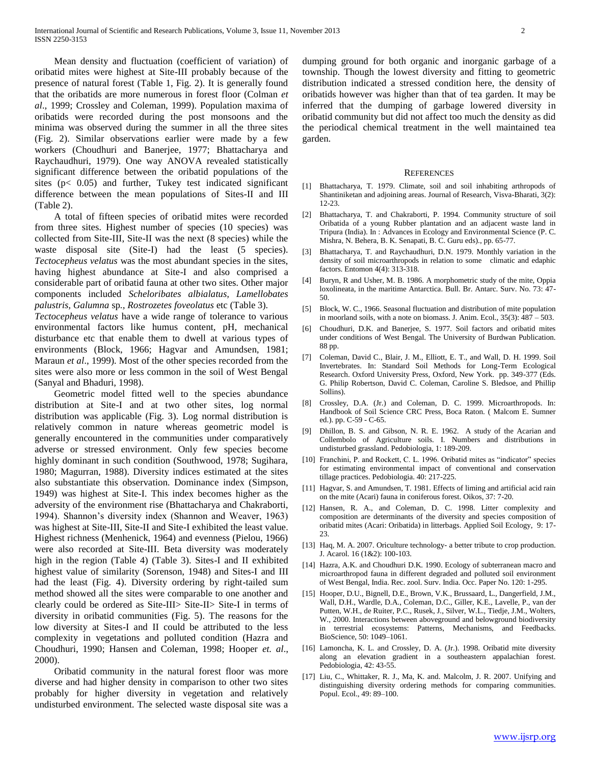Mean density and fluctuation (coefficient of variation) of oribatid mites were highest at Site-III probably because of the presence of natural forest (Table 1, Fig. 2). It is generally found that the oribatids are more numerous in forest floor (Colman *et al*., 1999; Crossley and Coleman, 1999). Population maxima of oribatids were recorded during the post monsoons and the minima was observed during the summer in all the three sites (Fig. 2). Similar observations earlier were made by a few workers (Choudhuri and Banerjee, 1977; Bhattacharya and Raychaudhuri, 1979). One way ANOVA revealed statistically significant difference between the oribatid populations of the sites ( $p < 0.05$ ) and further, Tukey test indicated significant difference between the mean populations of Sites-II and III (Table 2).

 A total of fifteen species of oribatid mites were recorded from three sites. Highest number of species (10 species) was collected from Site-III, Site-II was the next (8 species) while the waste disposal site (Site-I) had the least (5 species). *Tectocepheus velatus* was the most abundant species in the sites, having highest abundance at Site-I and also comprised a considerable part of oribatid fauna at other two sites. Other major components included *Scheloribates albialatus, Lamellobates palustris, Galumna* sp*., Rostrozetes foveolatus* etc (Table 3)*.* 

*Tectocepheus velatus* have a wide range of tolerance to various environmental factors like humus content, pH, mechanical disturbance etc that enable them to dwell at various types of environments (Block, 1966; Hagvar and Amundsen, 1981; Maraun *et al*., 1999). Most of the other species recorded from the sites were also more or less common in the soil of West Bengal (Sanyal and Bhaduri, 1998).

 Geometric model fitted well to the species abundance distribution at Site-I and at two other sites, log normal distribution was applicable (Fig. 3). Log normal distribution is relatively common in nature whereas geometric model is generally encountered in the communities under comparatively adverse or stressed environment. Only few species become highly dominant in such condition (Southwood, 1978; Sugihara, 1980; Magurran, 1988). Diversity indices estimated at the sites also substantiate this observation. Dominance index (Simpson, 1949) was highest at Site-I. This index becomes higher as the adversity of the environment rise (Bhattacharya and Chakraborti, 1994). Shannon's diversity index (Shannon and Weaver, 1963) was highest at Site-III, Site-II and Site-I exhibited the least value. Highest richness (Menhenick, 1964) and evenness (Pielou, 1966) were also recorded at Site-III. Beta diversity was moderately high in the region (Table 4) (Table 3). Sites-I and II exhibited highest value of similarity (Sorenson, 1948) and Sites-I and III had the least (Fig. 4). Diversity ordering by right-tailed sum method showed all the sites were comparable to one another and clearly could be ordered as Site-III> Site-II> Site-I in terms of diversity in oribatid communities (Fig. 5). The reasons for the low diversity at Sites-I and II could be attributed to the less complexity in vegetations and polluted condition (Hazra and Choudhuri, 1990; Hansen and Coleman, 1998; Hooper *et. al*., 2000).

 Oribatid community in the natural forest floor was more diverse and had higher density in comparison to other two sites probably for higher diversity in vegetation and relatively undisturbed environment. The selected waste disposal site was a

dumping ground for both organic and inorganic garbage of a township. Though the lowest diversity and fitting to geometric distribution indicated a stressed condition here, the density of oribatids however was higher than that of tea garden. It may be inferred that the dumping of garbage lowered diversity in oribatid community but did not affect too much the density as did the periodical chemical treatment in the well maintained tea garden.

#### **REFERENCES**

- [1] Bhattacharya, T. 1979. Climate, soil and soil inhabiting arthropods of Shantiniketan and adjoining areas. Journal of Research, Visva-Bharati, 3(2): 12-23.
- [2] Bhattacharya, T. and Chakraborti, P. 1994. Community structure of soil Oribatida of a young Rubber plantation and an adjacent waste land in Tripura (India). In : Advances in Ecology and Environmental Science (P. C. Mishra, N. Behera, B. K. Senapati, B. C. Guru eds)., pp. 65-77.
- [3] Bhattacharya, T. and Raychaudhuri, D.N. 1979. Monthly variation in the density of soil microarthropods in relation to some climatic and edaphic factors. Entomon 4(4): 313-318.
- [4] Buryn, R and Usher, M. B. 1986. A morphometric study of the mite, Oppia loxolineata, in the maritime Antarctica. Bull. Br. Antarc. Surv. No. 73: 47- 50.
- [5] Block, W. C., 1966. Seasonal fluctuation and distribution of mite population in moorland soils, with a note on biomass. J. Anim. Ecol., 35(3): 487 – 503.
- [6] Choudhuri, D.K. and Banerjee, S. 1977. Soil factors and oribatid mites under conditions of West Bengal. The University of Burdwan Publication. 88 pp.
- [7] Coleman, David C., Blair, J. M., Elliott, E. T., and Wall, D. H. 1999. Soil Invertebrates. In: Standard Soil Methods for Long-Term Ecological Research. Oxford University Press, Oxford, New York. pp. 349-377 (Eds. G. Philip Robertson, David C. Coleman, Caroline S. Bledsoe, and Phillip Sollins).
- [8] Crossley, D.A. (Jr.) and Coleman, D. C. 1999. Microarthropods. In: Handbook of Soil Science CRC Press, Boca Raton. ( Malcom E. Sumner ed.). pp. C-59 - C-65.
- [9] Dhillon, B. S. and Gibson, N. R. E. 1962. A study of the Acarian and Collembolo of Agriculture soils. I. Numbers and distributions in undisturbed grassland. Pedobiologia, 1: 189-209.
- [10] Franchini, P. and Rockett, C. L. 1996. Oribatid mites as "indicator" species for estimating environmental impact of conventional and conservation tillage practices. Pedobiologia. 40: 217-225.
- [11] Hagvar, S. and Amundsen, T. 1981. Effects of liming and artificial acid rain on the mite (Acari) fauna in coniferous forest. Oikos, 37: 7-20.
- [12] Hansen, R. A., and Coleman, D. C. 1998. Litter complexity and composition are determinants of the diversity and species composition of oribatid mites (Acari: Oribatida) in litterbags. Applied Soil Ecology, 9: 17- 23.
- [13] Haq, M. A. 2007. Oriculture technology- a better tribute to crop production. J. Acarol. 16 (1&2): 100-103.
- [14] Hazra, A.K. and Choudhuri D.K. 1990. Ecology of subterranean macro and microarthropod fauna in different degraded and polluted soil environment of West Bengal, India. Rec. zool. Surv. India. Occ. Paper No. 120: 1-295.
- [15] Hooper, D.U., Bignell, D.E., Brown, V.K., Brussaard, L., Dangerfield, J.M., Wall, D.H., Wardle, D.A., Coleman, D.C., Giller, K.E., Lavelle, P., van der Putten, W.H., de Ruiter, P.C., Rusek, J., Silver, W.L., Tiedje, J.M., Wolters, W., 2000. Interactions between aboveground and belowground biodiversity in terrestrial ecosystems: Patterns, Mechanisms, and Feedbacks. BioScience, 50: 1049–1061.
- [16] Lamoncha, K. L. and Crossley, D. A. (Jr.). 1998. Oribatid mite diversity along an elevation gradient in a southeastern appalachian forest. Pedobiologia, 42: 43-55.
- [17] Liu, C., Whittaker, R. J., Ma, K. and. Malcolm, J. R. 2007. Unifying and distinguishing diversity ordering methods for comparing communities. Popul. Ecol., 49: 89–100.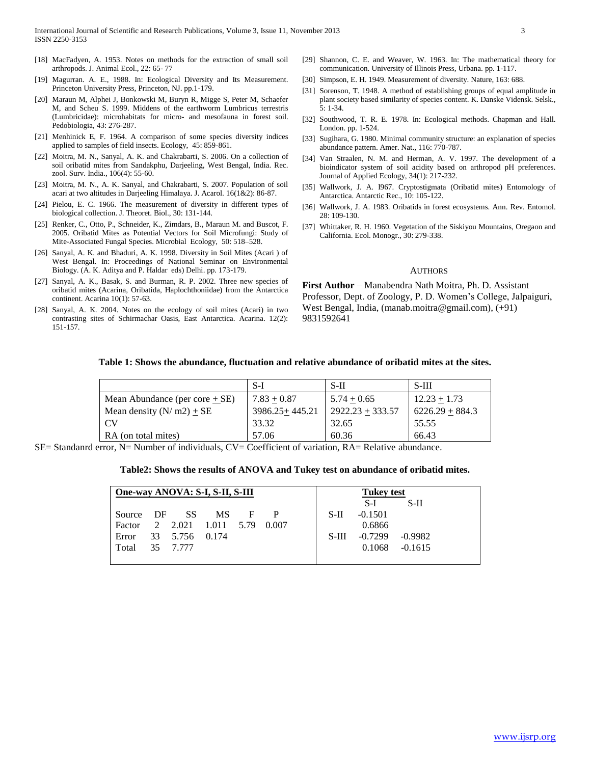- [18] MacFadyen, A. 1953. Notes on methods for the extraction of small soil arthropods. J. Animal Ecol., 22: 65- 77
- [19] Magurran. A. E., 1988. In: Ecological Diversity and Its Measurement. Princeton University Press, Princeton, NJ. pp.1-179.
- [20] Maraun M, Alphei J, Bonkowski M, Buryn R, Migge S, Peter M, Schaefer M, and Scheu S. 1999. Middens of the earthworm Lumbricus terrestris (Lumbricidae): microhabitats for micro- and mesofauna in forest soil. Pedobiologia, 43: 276-287.
- [21] Menhinick E, F. 1964. A comparison of some species diversity indices applied to samples of field insects. Ecology, 45: 859-861.
- [22] Moitra, M. N., Sanyal, A. K. and Chakrabarti, S. 2006. On a collection of soil oribatid mites from Sandakphu, Darjeeling, West Bengal, India. Rec. zool. Surv. India., 106(4): 55-60.
- [23] Moitra, M. N., A. K. Sanyal, and Chakrabarti, S. 2007. Population of soil acari at two altitudes in Darjeeling Himalaya. J. Acarol. 16(1&2): 86-87.
- [24] Pielou, E. C. 1966. The measurement of diversity in different types of biological collection. J. Theoret. Biol., 30: 131-144.
- [25] Renker, C., Otto, P., Schneider, K., Zimdars, B., Maraun M. and Buscot, F. 2005. Oribatid Mites as Potential Vectors for Soil Microfungi: Study of Mite-Associated Fungal Species. Microbial Ecology, 50: 518–528.
- [26] Sanyal, A. K. and Bhaduri, A. K. 1998. Diversity in Soil Mites (Acari ) of West Bengal. In: Proceedings of National Seminar on Environmental Biology. (A. K. Aditya and P. Haldar eds) Delhi. pp. 173-179.
- [27] Sanyal, A. K., Basak, S. and Burman, R. P. 2002. Three new species of oribatid mites (Acarina, Oribatida, Haplochthoniidae) from the Antarctica continent. Acarina 10(1): 57-63.
- [28] Sanyal, A. K. 2004. Notes on the ecology of soil mites (Acari) in two contrasting sites of Schirmachar Oasis, East Antarctica. Acarina. 12(2): 151-157.
- [29] Shannon, C. E. and Weaver, W. 1963. In: The mathematical theory for communication. University of Illinois Press, Urbana. pp. 1-117.
- [30] Simpson, E. H. 1949. Measurement of diversity. Nature, 163: 688.
- [31] Sorenson, T. 1948. A method of establishing groups of equal amplitude in plant society based similarity of species content. K. Danske Vidensk. Selsk., 5: 1-34.
- [32] Southwood, T. R. E. 1978. In: Ecological methods. Chapman and Hall. London. pp. 1-524.
- [33] Sugihara, G. 1980. Minimal community structure: an explanation of species abundance pattern. Amer. Nat., 116: 770-787.
- [34] Van Straalen, N. M. and Herman, A. V. 1997. The development of a bioindicator system of soil acidity based on arthropod pH preferences. Journal of Applied Ecology, 34(1): 217-232.
- [35] Wallwork, J. A. 1967. Cryptostigmata (Oribatid mites) Entomology of Antarctica. Antarctic Rec., 10: 105-122.
- [36] Wallwork, J. A. 1983. Oribatids in forest ecosystems. Ann. Rev. Entomol. 28: 109-130.
- [37] Whittaker, R. H. 1960. Vegetation of the Siskiyou Mountains, Oregaon and California. Ecol. Monogr., 30: 279-338.

## **AUTHORS**

**First Author** – Manabendra Nath Moitra, Ph. D. Assistant Professor, Dept. of Zoology, P. D. Women's College, Jalpaiguri, West Bengal, India, (manab.moitra@gmail.com), (+91) 9831592641

## **Table 1: Shows the abundance, fluctuation and relative abundance of oribatid mites at the sites.**

|                                  | S-I                | $S-II$             | $S-III$           |
|----------------------------------|--------------------|--------------------|-------------------|
| Mean Abundance (per core $+$ SE) | $7.83 + 0.87$      | $5.74 + 0.65$      | $12.23 + 1.73$    |
| Mean density $(N/m2) + SE$       | $3986.25 + 445.21$ | $2922.23 + 333.57$ | $6226.29 + 884.3$ |
| . CV                             | 33.32              | 32.65              | 55.55             |
| RA (on total mites)              | 57.06              | 60.36              | 66.43             |
| .<br>$-$                         | $\sim$<br>$\sim$   | $-$                |                   |

SE= Standanrd error, N= Number of individuals, CV= Coefficient of variation, RA= Relative abundance.

### **Table2: Shows the results of ANOVA and Tukey test on abundance of oribatid mites.**

| One-way ANOVA: S-I, S-II, S-III |  |                |           | Tukey test |       |  |         |           |           |  |
|---------------------------------|--|----------------|-----------|------------|-------|--|---------|-----------|-----------|--|
|                                 |  |                |           |            |       |  |         | S-I       | S-II      |  |
| Source DF                       |  | -SS            | <b>MS</b> | F          |       |  | $S-II$  | $-0.1501$ |           |  |
| Factor                          |  | 2 2.021        | 1.011     | 5.79       | 0.007 |  |         | 0.6866    |           |  |
| Error                           |  | 33 5.756 0.174 |           |            |       |  | $S-III$ | $-0.7299$ | $-0.9982$ |  |
| Total                           |  | 35 7.777       |           |            |       |  |         | 0.1068    | $-0.1615$ |  |
|                                 |  |                |           |            |       |  |         |           |           |  |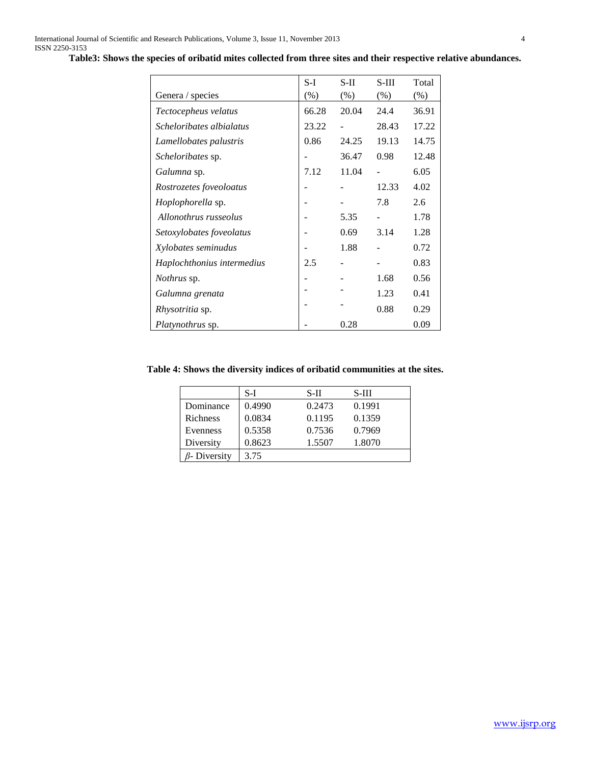|                            | $S-I$ | $S-II$ | $S-III$ | Total  |
|----------------------------|-------|--------|---------|--------|
| Genera / species           | (% )  | $(\%)$ | $(\%)$  | $(\%)$ |
| Tectocepheus velatus       | 66.28 | 20.04  | 24.4    | 36.91  |
| Scheloribates albialatus   | 23.22 |        | 28.43   | 17.22  |
| Lamellobates palustris     | 0.86  | 24.25  | 19.13   | 14.75  |
| Scheloribates sp.          |       | 36.47  | 0.98    | 12.48  |
| Galumna sp.                | 7.12  | 11.04  |         | 6.05   |
| Rostrozetes foveoloatus    |       |        | 12.33   | 4.02   |
| <i>Hoplophorella</i> sp.   |       |        | 7.8     | 2.6    |
| Allonothrus russeolus      |       | 5.35   |         | 1.78   |
| Setoxylobates foveolatus   |       | 0.69   | 3.14    | 1.28   |
| Xylobates seminudus        |       | 1.88   |         | 0.72   |
| Haplochthonius intermedius | 2.5   |        |         | 0.83   |
| <i>Nothrus</i> sp.         |       |        | 1.68    | 0.56   |
| Galumna grenata            |       |        | 1.23    | 0.41   |
| <i>Rhysotritia</i> sp.     |       |        | 0.88    | 0.29   |
| Platynothrus sp.           |       | 0.28   |         | 0.09   |

**Table3: Shows the species of oribatid mites collected from three sites and their respective relative abundances.**

# **Table 4: Shows the diversity indices of oribatid communities at the sites.**

|              | S-I    | S-II   | S-III  |
|--------------|--------|--------|--------|
| Dominance    | 0.4990 | 0.2473 | 0.1991 |
| Richness     | 0.0834 | 0.1195 | 0.1359 |
| Evenness     | 0.5358 | 0.7536 | 0.7969 |
| Diversity    | 0.8623 | 1.5507 | 1.8070 |
| 3- Diversity | 3.75   |        |        |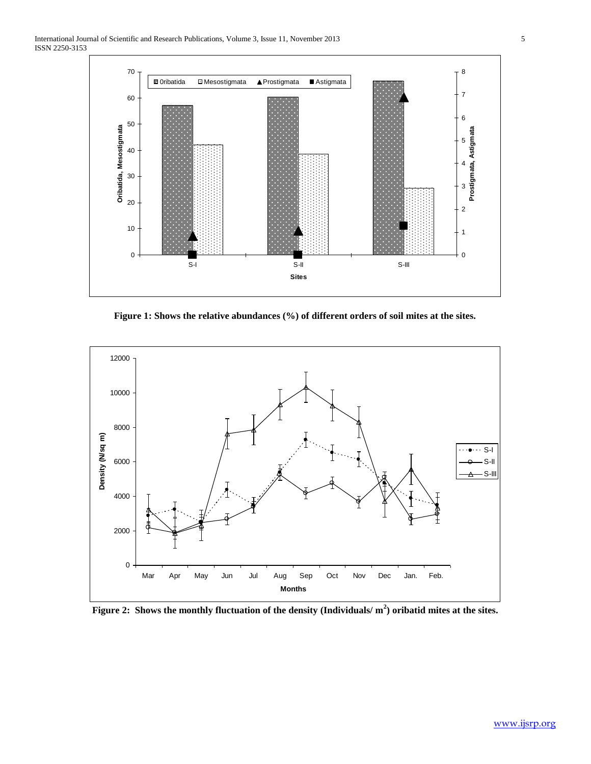

**Figure 1: Shows the relative abundances (%) of different orders of soil mites at the sites.**



**Figure 2: Shows the monthly fluctuation of the density (Individuals/ m<sup>2</sup> ) oribatid mites at the sites.**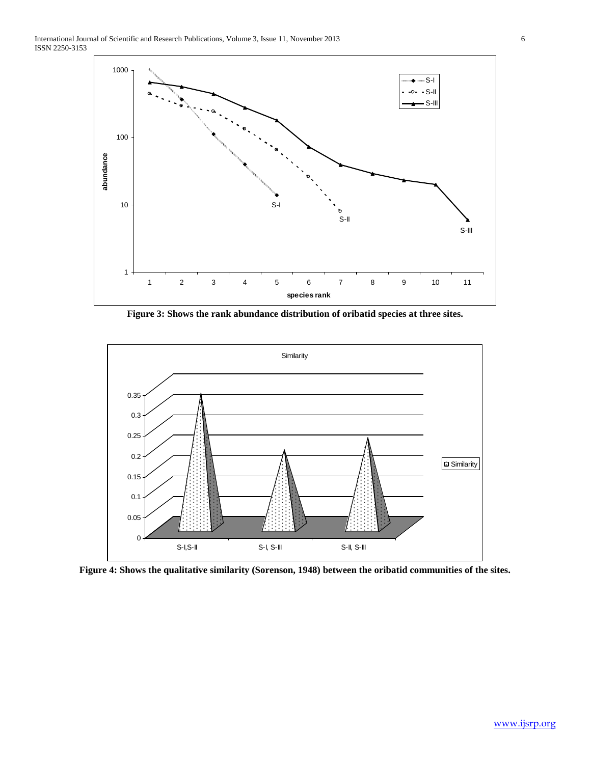

**Figure 3: Shows the rank abundance distribution of oribatid species at three sites.**



**Figure 4: Shows the qualitative similarity (Sorenson, 1948) between the oribatid communities of the sites.**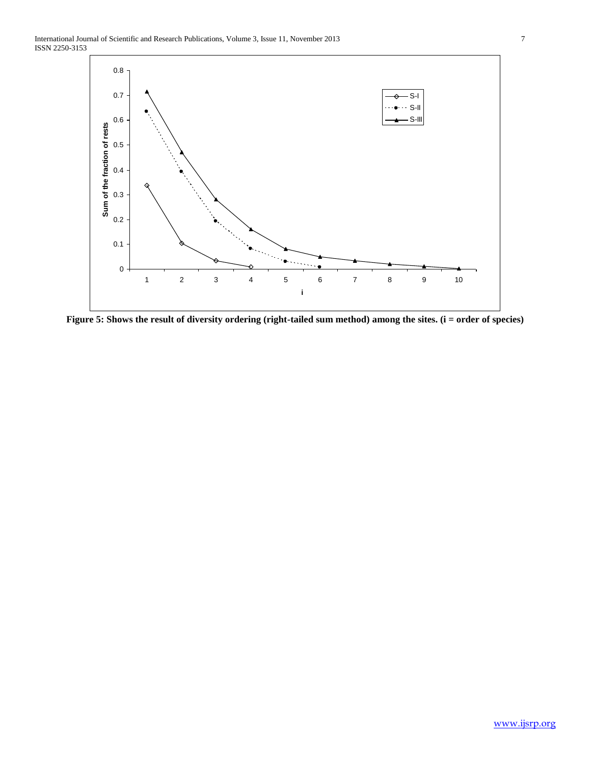

**Figure 5: Shows the result of diversity ordering (right-tailed sum method) among the sites. (i = order of species)**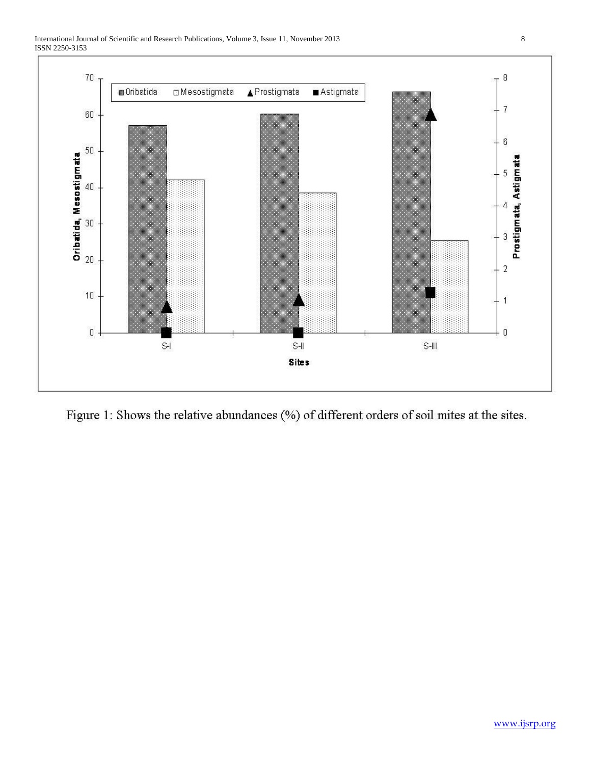



Figure 1: Shows the relative abundances (%) of different orders of soil mites at the sites.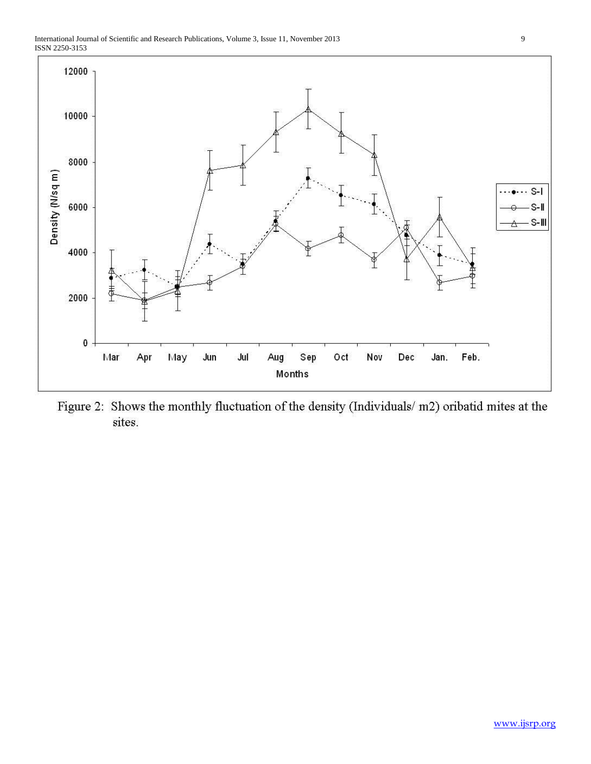

Figure 2: Shows the monthly fluctuation of the density (Individuals/m2) oribatid mites at the sites.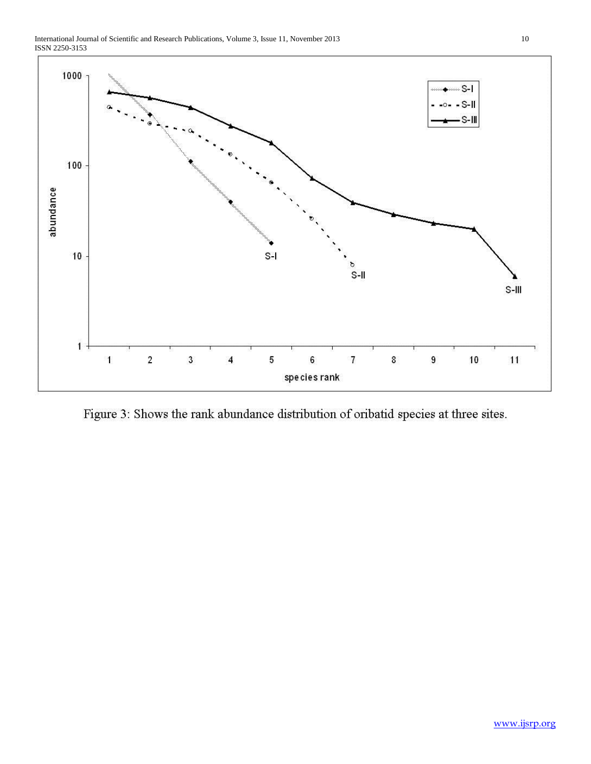



Figure 3: Shows the rank abundance distribution of oribatid species at three sites.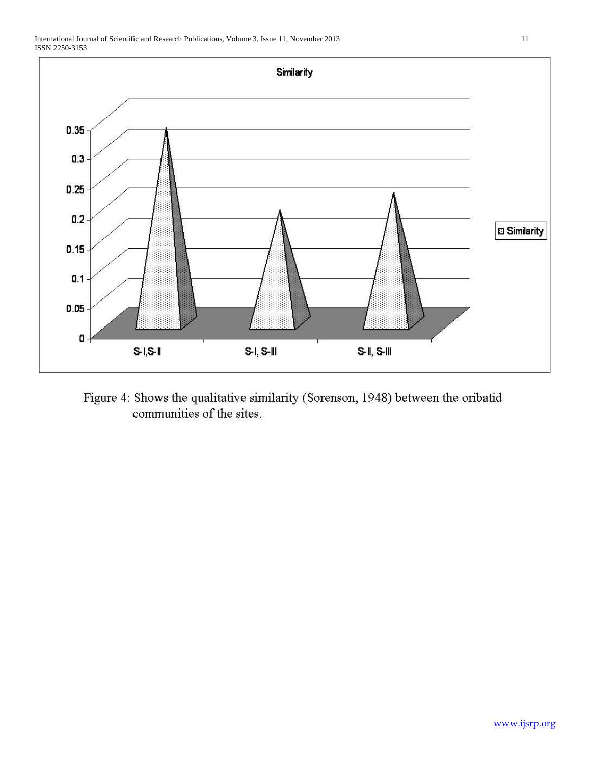

Figure 4: Shows the qualitative similarity (Sorenson, 1948) between the oribatid communities of the sites.